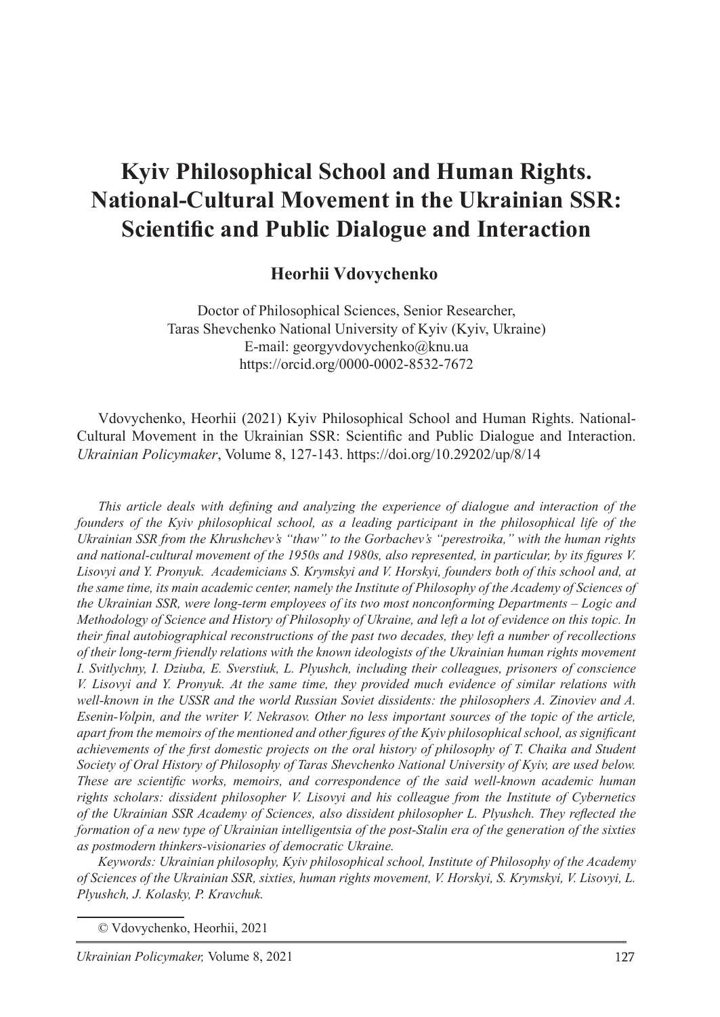#### **Heorhii Vdovychenko**<sup>1</sup>

Doctor of Philosophical Sciences, Senior Researcher, Taras Shevchenko National University of Kyiv (Kyiv, Ukraine) E-mail: georgyvdovychenko@knu.ua https://orcid.org/0000-0002-8532-7672

Vdovychenko, Heorhii (2021) Kyiv Philosophical School and Human Rights. National-Cultural Movement in the Ukrainian SSR: Scientific and Public Dialogue and Interaction. *Ukrainian Policymaker*, Volume 8, 127-143. https://doi.org/10.29202/up/8/14

*This article deals with defining and analyzing the experience of dialogue and interaction of the founders of the Kyiv philosophical school, as a leading participant in the philosophical life of the Ukrainian SSR from the Khrushchev's "thaw" to the Gorbachev's "perestroika," with the human rights and national-cultural movement of the 1950s and 1980s, also represented, in particular, by its figures V. Lisovyi and Y. Pronyuk. Academicians S. Krymskyi and V. Horskyi, founders both of this school and, at the same time, its main academic center, namely the Institute of Philosophy of the Academy of Sciences of the Ukrainian SSR, were long-term employees of its two most nonconforming Departments – Logic and Methodology of Science and History of Philosophy of Ukraine, and left a lot of evidence on this topic. In their final autobiographical reconstructions of the past two decades, they left a number of recollections of their long-term friendly relations with the known ideologists of the Ukrainian human rights movement I. Svitlychny, I. Dziuba, E. Sverstiuk, L. Plyushch, including their colleagues, prisoners of conscience V. Lisovyi and Y. Pronyuk. At the same time, they provided much evidence of similar relations with*  well-known in the USSR and the world Russian Soviet dissidents: the philosophers A. Zinoviev and A. *Esenin-Volpin, and the writer V. Nekrasov. Other no less important sources of the topic of the article, apart from the memoirs of the mentioned and other figures of the Kyiv philosophical school, as significant achievements of the first domestic projects on the oral history of philosophy of T. Chaika and Student Society of Oral History of Philosophy of Taras Shevchenko National University of Kyiv, are used below. These are scientific works, memoirs, and correspondence of the said well-known academic human rights scholars: dissident philosopher V. Lisovyi and his colleague from the Institute of Cybernetics of the Ukrainian SSR Academy of Sciences, also dissident philosopher L. Plyushch. They reflected the formation of a new type of Ukrainian intelligentsia of the post-Stalin era of the generation of the sixties as postmodern thinkers-visionaries of democratic Ukraine.*

*Keywords: Ukrainian philosophy, Kyiv philosophical school, Institute of Philosophy of the Academy of Sciences of the Ukrainian SSR, sixties, human rights movement, V. Horskyi, S. Krymskyi, V. Lisovyi, L. Plyushch, J. Kolasky, P. Kravchuk.*

© Vdovychenko, Heorhii, 2021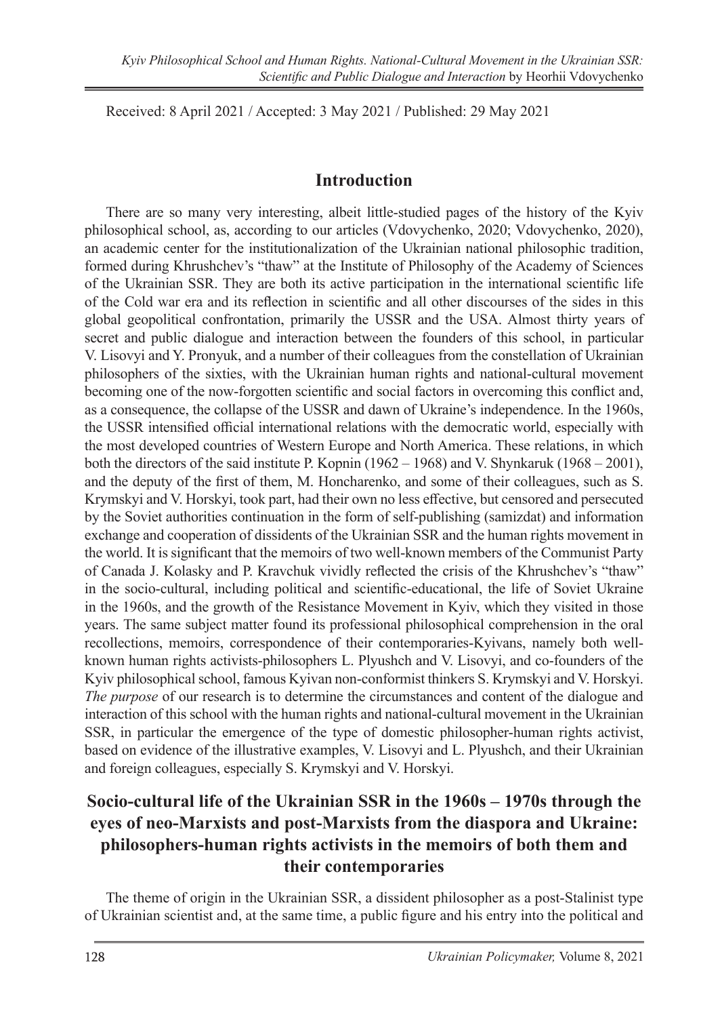Received: 8 April 2021 / Accepted: 3 May 2021 / Published: 29 May 2021

### **Introduction**

There are so many very interesting, albeit little-studied pages of the history of the Kyiv philosophical school, as, according to our articles (Vdovychenko, 2020; Vdovychenko, 2020), an academic center for the institutionalization of the Ukrainian national philosophic tradition, formed during Khrushchev's "thaw" at the Institute of Philosophy of the Academy of Sciences of the Ukrainian SSR. They are both its active participation in the international scientific life of the Cold war era and its reflection in scientific and all other discourses of the sides in this global geopolitical confrontation, primarily the USSR and the USA. Almost thirty years of secret and public dialogue and interaction between the founders of this school, in particular V. Lisovyi and Y. Pronyuk, and a number of their colleagues from the constellation of Ukrainian philosophers of the sixties, with the Ukrainian human rights and national-cultural movement becoming one of the now-forgotten scientific and social factors in overcoming this conflict and, as a consequence, the collapse of the USSR and dawn of Ukraine's independence. In the 1960s, the USSR intensified official international relations with the democratic world, especially with the most developed countries of Western Europe and North America. These relations, in which both the directors of the said institute P. Kopnin (1962 – 1968) and V. Shynkaruk (1968 – 2001), and the deputy of the first of them, M. Honcharenko, and some of their colleagues, such as S. Krymskyi and V. Horskyi, took part, had their own no less effective, but censored and persecuted by the Soviet authorities continuation in the form of self-publishing (samizdat) and information exchange and cooperation of dissidents of the Ukrainian SSR and the human rights movement in the world. It is significant that the memoirs of two well-known members of the Communist Party of Canada J. Kolasky and P. Kravchuk vividly reflected the crisis of the Khrushchev's "thaw" in the socio-cultural, including political and scientific-educational, the life of Soviet Ukraine in the 1960s, and the growth of the Resistance Movement in Kyiv, which they visited in those years. The same subject matter found its professional philosophical comprehension in the oral recollections, memoirs, correspondence of their contemporaries-Kyivans, namely both wellknown human rights activists-philosophers L. Plyushch and V. Lisovyi, and co-founders of the Kyiv philosophical school, famous Kyivan non-conformist thinkers S. Krymskyi and V. Horskyi. *The purpose* of our research is to determine the circumstances and content of the dialogue and interaction of this school with the human rights and national-cultural movement in the Ukrainian SSR, in particular the emergence of the type of domestic philosopher-human rights activist, based on evidence of the illustrative examples, V. Lisovyi and L. Plyushch, and their Ukrainian and foreign colleagues, especially S. Krymskyi and V. Horskyi.

# **Socio-cultural life of the Ukrainian SSR in the 1960s – 1970s through the eyes of neo-Marxists and post-Marxists from the diaspora and Ukraine: philosophers-human rights activists in the memoirs of both them and their contemporaries**

The theme of origin in the Ukrainian SSR, a dissident philosopher as a post-Stalinist type of Ukrainian scientist and, at the same time, a public figure and his entry into the political and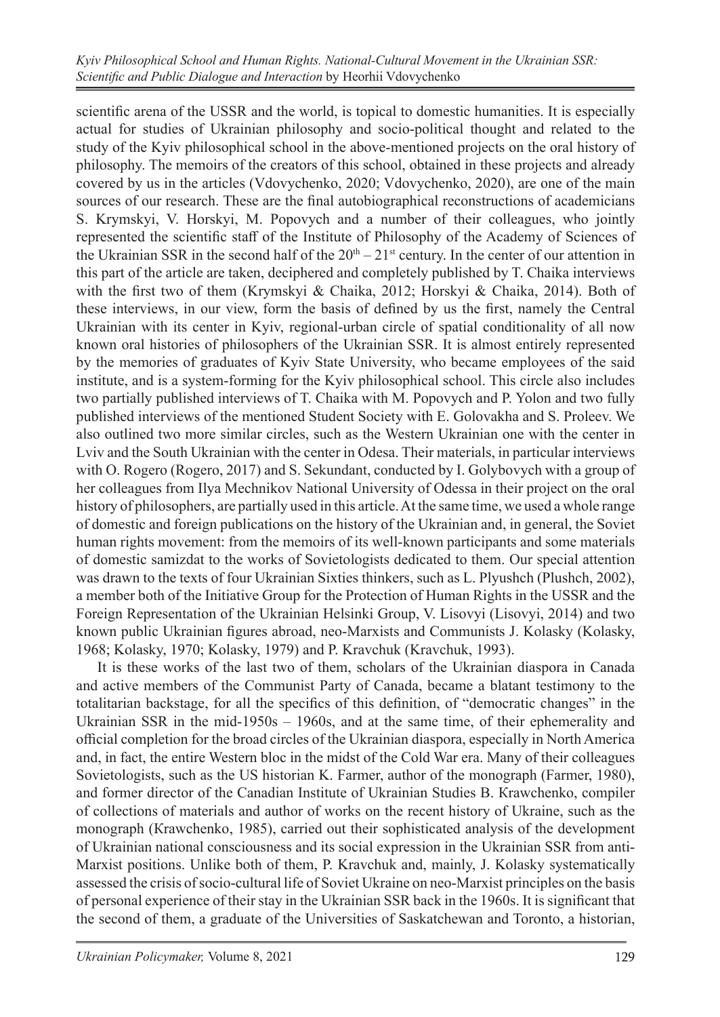scientific arena of the USSR and the world, is topical to domestic humanities. It is especially actual for studies of Ukrainian philosophy and socio-political thought and related to the study of the Kyiv philosophical school in the above-mentioned projects on the oral history of philosophy. The memoirs of the creators of this school, obtained in these projects and already covered by us in the articles (Vdovychenko, 2020; Vdovychenko, 2020), are one of the main sources of our research. These are the final autobiographical reconstructions of academicians S. Krymskyi, V. Horskyi, M. Popovych and a number of their colleagues, who jointly represented the scientific staff of the Institute of Philosophy of the Academy of Sciences of the Ukrainian SSR in the second half of the  $20<sup>th</sup> - 21<sup>st</sup>$  century. In the center of our attention in this part of the article are taken, deciphered and completely published by T. Chaika interviews with the first two of them (Krymskyi & Chaika, 2012; Horskyi & Chaika, 2014). Both of these interviews, in our view, form the basis of defined by us the first, namely the Central Ukrainian with its center in Kyiv, regional-urban circle of spatial conditionality of all now known oral histories of philosophers of the Ukrainian SSR. It is almost entirely represented by the memories of graduates of Kyiv State University, who became employees of the said institute, and is a system-forming for the Kyiv philosophical school. This circle also includes two partially published interviews of T. Chaika with M. Popovych and P. Yolon and two fully published interviews of the mentioned Student Society with E. Golovakha and S. Proleev. We also outlined two more similar circles, such as the Western Ukrainian one with the center in Lviv and the South Ukrainian with the center in Odesa. Their materials, in particular interviews with O. Rogero (Rogero, 2017) and S. Sekundant, conducted by I. Golybovych with a group of her colleagues from Ilya Mechnikov National University of Odessa in their project on the oral history of philosophers, are partially used in this article. At the same time, we used a whole range of domestic and foreign publications on the history of the Ukrainian and, in general, the Soviet human rights movement: from the memoirs of its well-known participants and some materials of domestic samizdat to the works of Sovietologists dedicated to them. Our special attention was drawn to the texts of four Ukrainian Sixties thinkers, such as L. Plyushch (Plushch, 2002), a member both of the Initiative Group for the Protection of Human Rights in the USSR and the Foreign Representation of the Ukrainian Helsinki Group, V. Lisovyi (Lisovyi, 2014) and two known public Ukrainian figures abroad, neo-Marxists and Communists J. Kolasky (Kolasky, 1968; Kolasky, 1970; Kolasky, 1979) and P. Kravchuk (Kravchuk, 1993).

It is these works of the last two of them, scholars of the Ukrainian diaspora in Canada and active members of the Communist Party of Canada, became a blatant testimony to the totalitarian backstage, for all the specifics of this definition, of "democratic changes" in the Ukrainian SSR in the mid-1950s  $-$  1960s, and at the same time, of their ephemerality and official completion for the broad circles of the Ukrainian diaspora, especially in North America and, in fact, the entire Western bloc in the midst of the Cold War era. Many of their colleagues Sovietologists, such as the US historian K. Farmer, author of the monograph (Farmer, 1980), and former director of the Canadian Institute of Ukrainian Studies B. Кrawchenko, compiler of collections of materials and author of works on the recent history of Ukraine, such as the monograph (Кrawchenko, 1985), carried out their sophisticated analysis of the development of Ukrainian national consciousness and its social expression in the Ukrainian SSR from anti-Marxist positions. Unlike both of them, P. Kravchuk and, mainly, J. Kolasky systematically assessed the crisis of socio-cultural life of Soviet Ukraine on neo-Marxist principles on the basis of personal experience of their stay in the Ukrainian SSR back in the 1960s. It is significant that the second of them, a graduate of the Universities of Saskatchewan and Toronto, a historian,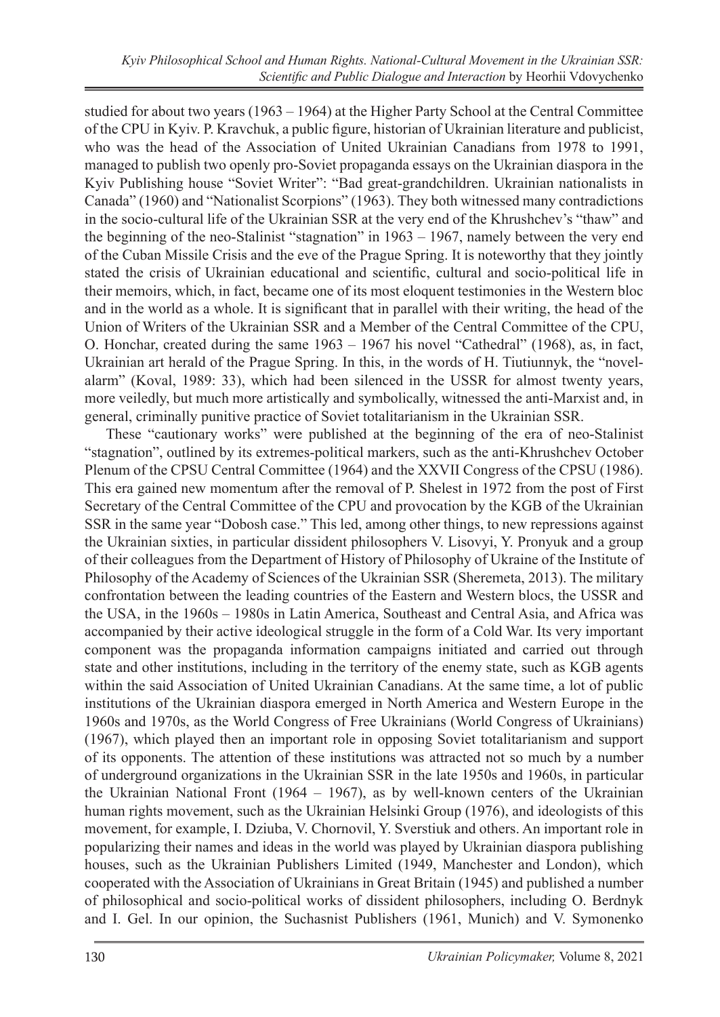studied for about two years (1963 – 1964) at the Higher Party School at the Central Committee of the CPU in Kyiv. P. Kravchuk, a public figure, historian of Ukrainian literature and publicist, who was the head of the Association of United Ukrainian Canadians from 1978 to 1991, managed to publish two openly pro-Soviet propaganda essays on the Ukrainian diaspora in the Kyiv Publishing house "Soviet Writer": "Bad great-grandchildren. Ukrainian nationalists in Canada" (1960) and "Nationalist Scorpions" (1963). They both witnessed many contradictions in the socio-cultural life of the Ukrainian SSR at the very end of the Khrushchev's "thaw" and the beginning of the neo-Stalinist "stagnation" in 1963 – 1967, namely between the very end of the Cuban Missile Crisis and the eve of the Prague Spring. It is noteworthy that they jointly stated the crisis of Ukrainian educational and scientific, cultural and socio-political life in their memoirs, which, in fact, became one of its most eloquent testimonies in the Western bloc and in the world as a whole. It is significant that in parallel with their writing, the head of the Union of Writers of the Ukrainian SSR and a Member of the Central Committee of the CPU, O. Honchar, created during the same 1963 – 1967 his novel "Cathedral" (1968), as, in fact, Ukrainian art herald of the Prague Spring. In this, in the words of H. Tiutiunnyk, the "novelalarm" (Koval, 1989: 33), which had been silenced in the USSR for almost twenty years, more veiledly, but much more artistically and symbolically, witnessed the anti-Marxist and, in general, criminally punitive practice of Soviet totalitarianism in the Ukrainian SSR.

These "cautionary works" were published at the beginning of the era of neo-Stalinist "stagnation", outlined by its extremes-political markers, such as the anti-Khrushchev October Plenum of the CPSU Central Committee (1964) and the XXVII Congress of the CPSU (1986). This era gained new momentum after the removal of P. Shelest in 1972 from the post of First Secretary of the Central Committee of the CPU and provocation by the KGB of the Ukrainian SSR in the same year "Dobosh case." This led, among other things, to new repressions against the Ukrainian sixties, in particular dissident philosophers V. Lisovyi, Y. Pronyuk and a group of their colleagues from the Department of History of Philosophy of Ukraine of the Institute of Philosophy of the Academy of Sciences of the Ukrainian SSR (Sheremeta, 2013). The military confrontation between the leading countries of the Eastern and Western blocs, the USSR and the USA, in the 1960s – 1980s in Latin America, Southeast and Central Asia, and Africa was accompanied by their active ideological struggle in the form of a Cold War. Its very important component was the propaganda information campaigns initiated and carried out through state and other institutions, including in the territory of the enemy state, such as KGB agents within the said Association of United Ukrainian Canadians. At the same time, a lot of public institutions of the Ukrainian diaspora emerged in North America and Western Europe in the 1960s and 1970s, as the World Congress of Free Ukrainians (World Congress of Ukrainians) (1967), which played then an important role in opposing Soviet totalitarianism and support of its opponents. The attention of these institutions was attracted not so much by a number of underground organizations in the Ukrainian SSR in the late 1950s and 1960s, in particular the Ukrainian National Front (1964 – 1967), as by well-known centers of the Ukrainian human rights movement, such as the Ukrainian Helsinki Group (1976), and ideologists of this movement, for example, I. Dziuba, V. Chornovil, Y. Sverstiuk and others. An important role in popularizing their names and ideas in the world was played by Ukrainian diaspora publishing houses, such as the Ukrainian Publishers Limited (1949, Manchester and London), which cooperated with the Association of Ukrainians in Great Britain (1945) and published a number of philosophical and socio-political works of dissident philosophers, including O. Berdnyk and I. Gel. In our opinion, the Suchasnist Publishers (1961, Munich) and V. Symonenko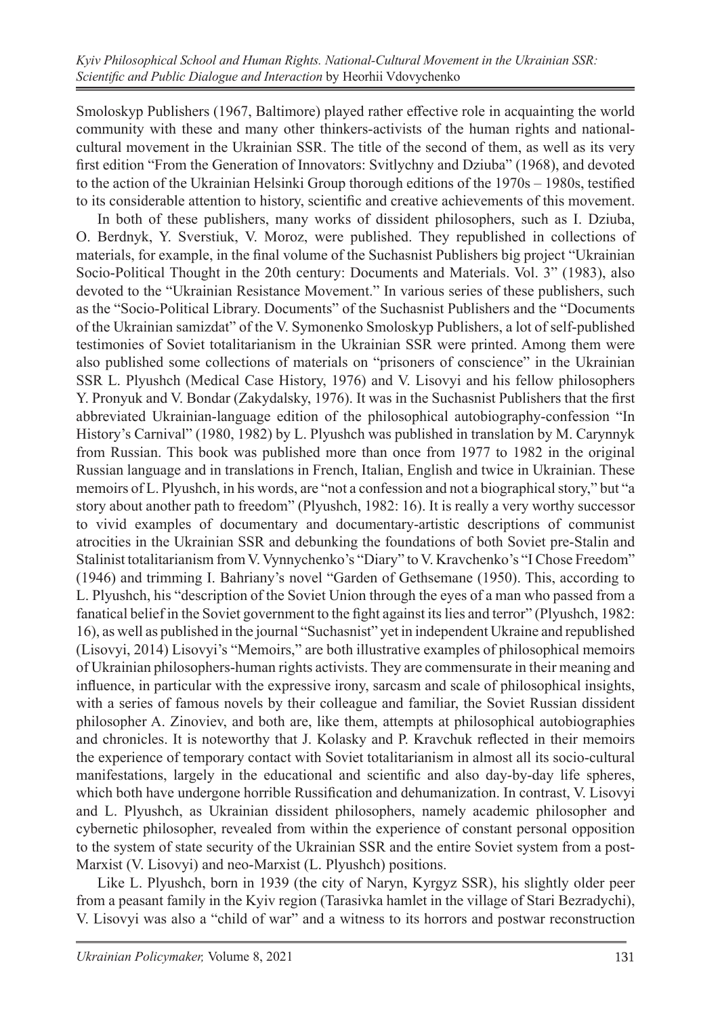Smoloskyp Publishers (1967, Baltimore) played rather effective role in acquainting the world community with these and many other thinkers-activists of the human rights and nationalcultural movement in the Ukrainian SSR. The title of the second of them, as well as its very first edition "From the Generation of Innovators: Svitlychny and Dziuba" (1968), and devoted to the action of the Ukrainian Helsinki Group thorough editions of the 1970s – 1980s, testified to its considerable attention to history, scientific and creative achievements of this movement.

In both of these publishers, many works of dissident philosophers, such as I. Dziuba, O. Berdnyk, Y. Sverstiuk, V. Moroz, were published. They republished in collections of materials, for example, in the final volume of the Suchasnist Publishers big project "Ukrainian Socio-Political Thought in the 20th century: Documents and Materials. Vol. 3" (1983), also devoted to the "Ukrainian Resistance Movement." In various series of these publishers, such as the "Socio-Political Library. Documents" of the Suchasnist Publishers and the "Documents of the Ukrainian samizdat" of the V. Symonenko Smoloskyp Publishers, a lot of self-published testimonies of Soviet totalitarianism in the Ukrainian SSR were printed. Among them were also published some collections of materials on "prisoners of conscience" in the Ukrainian SSR L. Plyushch (Medical Case History, 1976) and V. Lisovyi and his fellow philosophers Y. Pronyuk and V. Bondar (Zakydalsky, 1976). It was in the Suchasnist Publishers that the first abbreviated Ukrainian-language edition of the philosophical autobiography-confession "In History's Carnival" (1980, 1982) by L. Plyushch was published in translation by M. Carynnyk from Russian. This book was published more than once from 1977 to 1982 in the original Russian language and in translations in French, Italian, English and twice in Ukrainian. These memoirs of L. Plyushch, in his words, are "not a confession and not a biographical story," but "a story about another path to freedom" (Plyushch, 1982: 16). It is really a very worthy successor to vivid examples of documentary and documentary-artistic descriptions of communist atrocities in the Ukrainian SSR and debunking the foundations of both Soviet pre-Stalin and Stalinist totalitarianism from V. Vynnychenko's "Diary" to V. Kravchenko's "I Chose Freedom" (1946) and trimming I. Bahriany's novel "Garden of Gethsemane (1950). This, according to L. Plyushch, his "description of the Soviet Union through the eyes of a man who passed from a fanatical belief in the Soviet government to the fight against its lies and terror" (Plyushch, 1982: 16), as well as published in the journal "Suchasnist" yet in independent Ukraine and republished (Lisovyi, 2014) Lisovyi's "Memoirs," are both illustrative examples of philosophical memoirs of Ukrainian philosophers-human rights activists. They are commensurate in their meaning and influence, in particular with the expressive irony, sarcasm and scale of philosophical insights, with a series of famous novels by their colleague and familiar, the Soviet Russian dissident philosopher A. Zinoviev, and both are, like them, attempts at philosophical autobiographies and chronicles. It is noteworthy that J. Kolasky and P. Kravchuk reflected in their memoirs the experience of temporary contact with Soviet totalitarianism in almost all its socio-cultural manifestations, largely in the educational and scientific and also day-by-day life spheres, which both have undergone horrible Russification and dehumanization. In contrast, V. Lisovyi and L. Plyushch, as Ukrainian dissident philosophers, namely academic philosopher and cybernetic philosopher, revealed from within the experience of constant personal opposition to the system of state security of the Ukrainian SSR and the entire Soviet system from a post-Marxist (V. Lisovyi) and neo-Marxist (L. Plyushch) positions.

Like L. Plyushch, born in 1939 (the city of Naryn, Kyrgyz SSR), his slightly older peer from a peasant family in the Kyiv region (Tarasivka hamlet in the village of Stari Bezradychi), V. Lisovyi was also a "child of war" and a witness to its horrors and postwar reconstruction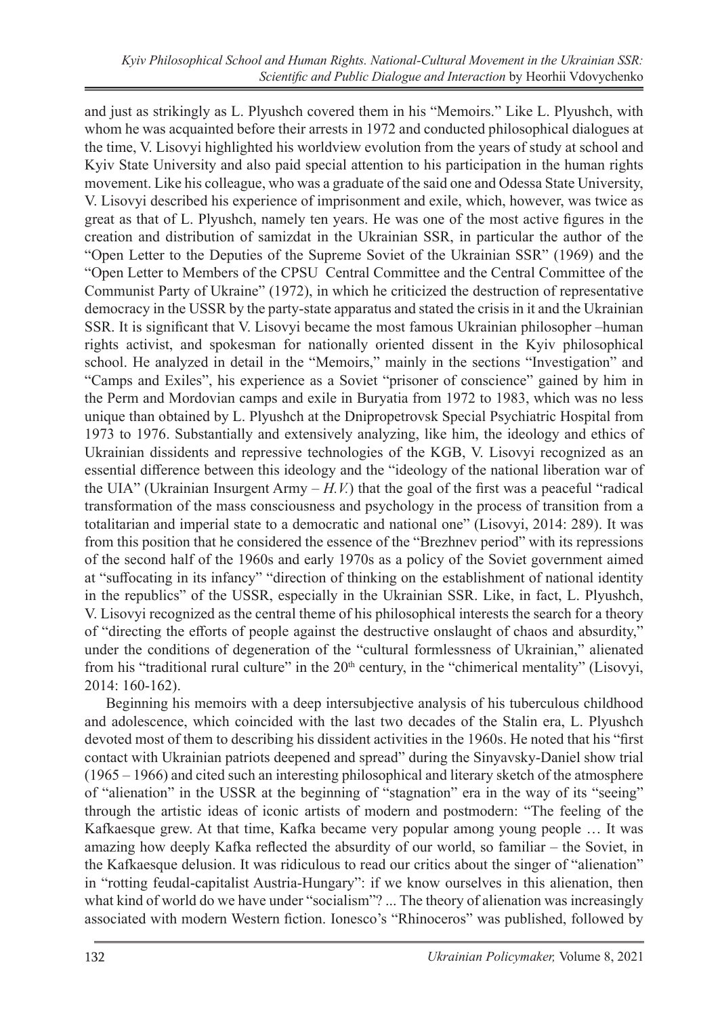and just as strikingly as L. Plyushch covered them in his "Memoirs." Like L. Plyushch, with whom he was acquainted before their arrests in 1972 and conducted philosophical dialogues at the time, V. Lisovyi highlighted his worldview evolution from the years of study at school and Kyiv State University and also paid special attention to his participation in the human rights movement. Like his colleague, who was a graduate of the said one and Odessa State University, V. Lisovyi described his experience of imprisonment and exile, which, however, was twice as great as that of L. Plyushch, namely ten years. He was one of the most active figures in the creation and distribution of samizdat in the Ukrainian SSR, in particular the author of the "Open Letter to the Deputies of the Supreme Soviet of the Ukrainian SSR" (1969) and the "Open Letter to Members of the CPSU Central Committee and the Central Committee of the Communist Party of Ukraine" (1972), in which he criticized the destruction of representative democracy in the USSR by the party-state apparatus and stated the crisis in it and the Ukrainian SSR. It is significant that V. Lisovyi became the most famous Ukrainian philosopher –human rights activist, and spokesman for nationally oriented dissent in the Kyiv philosophical school. He analyzed in detail in the "Memoirs," mainly in the sections "Investigation" and "Camps and Exiles", his experience as a Soviet "prisoner of conscience" gained by him in the Perm and Mordovian camps and exile in Buryatia from 1972 to 1983, which was no less unique than obtained by L. Plyushch at the Dnipropetrovsk Special Psychiatric Hospital from 1973 to 1976. Substantially and extensively analyzing, like him, the ideology and ethics of Ukrainian dissidents and repressive technologies of the KGB, V. Lisovyi recognized as an essential difference between this ideology and the "ideology of the national liberation war of the UIA" (Ukrainian Insurgent Army  $-H.V$ ) that the goal of the first was a peaceful "radical transformation of the mass consciousness and psychology in the process of transition from a totalitarian and imperial state to a democratic and national one" (Lisovyi, 2014: 289). It was from this position that he considered the essence of the "Brezhnev period" with its repressions of the second half of the 1960s and early 1970s as a policy of the Soviet government aimed at "suffocating in its infancy" "direction of thinking on the establishment of national identity in the republics" of the USSR, especially in the Ukrainian SSR. Like, in fact, L. Plyushch, V. Lisovyi recognized as the central theme of his philosophical interests the search for a theory of "directing the efforts of people against the destructive onslaught of chaos and absurdity," under the conditions of degeneration of the "cultural formlessness of Ukrainian," alienated from his "traditional rural culture" in the  $20<sup>th</sup>$  century, in the "chimerical mentality" (Lisovyi, 2014: 160-162).

Beginning his memoirs with a deep intersubjective analysis of his tuberculous childhood and adolescence, which coincided with the last two decades of the Stalin era, L. Plyushch devoted most of them to describing his dissident activities in the 1960s. He noted that his "first contact with Ukrainian patriots deepened and spread" during the Sinyavsky-Daniel show trial (1965 – 1966) and cited such an interesting philosophical and literary sketch of the atmosphere of "alienation" in the USSR at the beginning of "stagnation" era in the way of its "seeing" through the artistic ideas of iconic artists of modern and postmodern: "The feeling of the Kafkaesque grew. At that time, Kafka became very popular among young people … It was amazing how deeply Kafka reflected the absurdity of our world, so familiar – the Soviet, in the Kafkaesque delusion. It was ridiculous to read our critics about the singer of "alienation" in "rotting feudal-capitalist Austria-Hungary": if we know ourselves in this alienation, then what kind of world do we have under "socialism"? ... The theory of alienation was increasingly associated with modern Western fiction. Ionesco's "Rhinoceros" was published, followed by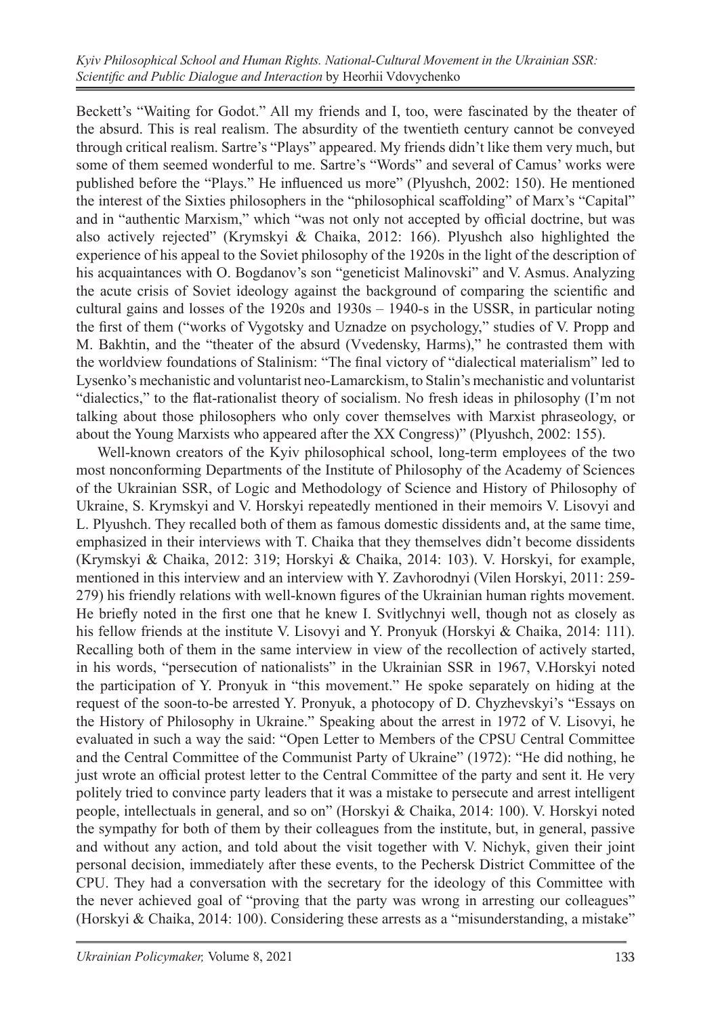Beckett's "Waiting for Godot." All my friends and I, too, were fascinated by the theater of the absurd. This is real realism. The absurdity of the twentieth century cannot be conveyed through critical realism. Sartre's "Plays" appeared. My friends didn't like them very much, but some of them seemed wonderful to me. Sartre's "Words" and several of Camus' works were published before the "Plays." He influenced us more" (Plyushch, 2002: 150). He mentioned the interest of the Sixties philosophers in the "philosophical scaffolding" of Marx's "Capital" and in "authentic Marxism," which "was not only not accepted by official doctrine, but was also actively rejected" (Krymskyi & Chaika, 2012: 166). Plyushch also highlighted the experience of his appeal to the Soviet philosophy of the 1920s in the light of the description of his acquaintances with O. Bogdanov's son "geneticist Malinovski" and V. Asmus. Analyzing the acute crisis of Soviet ideology against the background of comparing the scientific and cultural gains and losses of the 1920s and 1930s – 1940-s in the USSR, in particular noting the first of them ("works of Vygotsky and Uznadze on psychology," studies of V. Propp and M. Bakhtin, and the "theater of the absurd (Vvedensky, Harms)," he contrasted them with the worldview foundations of Stalinism: "The final victory of "dialectical materialism" led to Lysenko's mechanistic and voluntarist neo-Lamarckism, to Stalin's mechanistic and voluntarist "dialectics," to the flat-rationalist theory of socialism. No fresh ideas in philosophy (I'm not talking about those philosophers who only cover themselves with Marxist phraseology, or about the Young Marxists who appeared after the XX Congress)" (Plyushch, 2002: 155).

Well-known creators of the Kyiv philosophical school, long-term employees of the two most nonconforming Departments of the Institute of Philosophy of the Academy of Sciences of the Ukrainian SSR, of Logic and Methodology of Science and History of Philosophy of Ukraine, S. Krymskyi and V. Horskyi repeatedly mentioned in their memoirs V. Lisovyi and L. Plyushch. They recalled both of them as famous domestic dissidents and, at the same time, emphasized in their interviews with T. Chaika that they themselves didn't become dissidents (Krymskyi & Chaika, 2012: 319; Horskyi & Chaika, 2014: 103). V. Horskyi, for example, mentioned in this interview and an interview with Y. Zavhorodnyi (Vilen Horskyi, 2011: 259- 279) his friendly relations with well-known figures of the Ukrainian human rights movement. He briefly noted in the first one that he knew I. Svitlychnyi well, though not as closely as his fellow friends at the institute V. Lisovyi and Y. Pronyuk (Horskyi & Chaika, 2014: 111). Recalling both of them in the same interview in view of the recollection of actively started, in his words, "persecution of nationalists" in the Ukrainian SSR in 1967, V.Horskyi noted the participation of Y. Pronyuk in "this movement." He spoke separately on hiding at the request of the soon-to-be arrested Y. Pronyuk, a photocopy of D. Chyzhevskyi's "Essays on the History of Philosophy in Ukraine." Speaking about the arrest in 1972 of V. Lisovyi, he evaluated in such a way the said: "Open Letter to Members of the CPSU Central Committee and the Central Committee of the Communist Party of Ukraine" (1972): "He did nothing, he just wrote an official protest letter to the Central Committee of the party and sent it. He very politely tried to convince party leaders that it was a mistake to persecute and arrest intelligent people, intellectuals in general, and so on" (Horskyi & Chaika, 2014: 100). V. Horskyi noted the sympathy for both of them by their colleagues from the institute, but, in general, passive and without any action, and told about the visit together with V. Nichyk, given their joint personal decision, immediately after these events, to the Pechersk District Committee of the CPU. They had a conversation with the secretary for the ideology of this Committee with the never achieved goal of "proving that the party was wrong in arresting our colleagues" (Horskyi & Chaika, 2014: 100). Considering these arrests as a "misunderstanding, a mistake"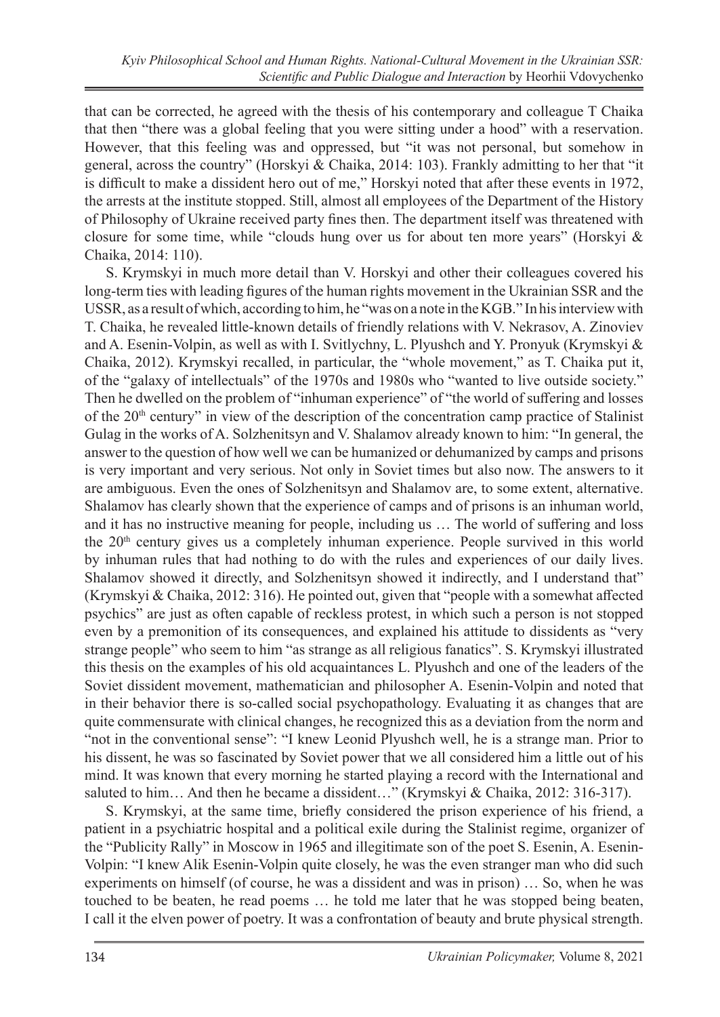that can be corrected, he agreed with the thesis of his contemporary and colleague T Chaika that then "there was a global feeling that you were sitting under a hood" with a reservation. However, that this feeling was and oppressed, but "it was not personal, but somehow in general, across the country" (Horskyi & Chaika, 2014: 103). Frankly admitting to her that "it is difficult to make a dissident hero out of me," Horskyi noted that after these events in 1972, the arrests at the institute stopped. Still, almost all employees of the Department of the History of Philosophy of Ukraine received party fines then. The department itself was threatened with closure for some time, while "clouds hung over us for about ten more years" (Horskyi & Chaika, 2014: 110).

S. Krymskyi in much more detail than V. Horskyi and other their colleagues covered his long-term ties with leading figures of the human rights movement in the Ukrainian SSR and the USSR, as a result of which, according to him, he "was on a note in the KGB." In his interview with T. Chaika, he revealed little-known details of friendly relations with V. Nekrasov, A. Zinoviev and A. Esenin-Volpin, as well as with I. Svitlychny, L. Plyushch and Y. Pronyuk (Krymskyi & Chaika, 2012). Krymskyi recalled, in particular, the "whole movement," as T. Chaika put it, of the "galaxy of intellectuals" of the 1970s and 1980s who "wanted to live outside society." Then he dwelled on the problem of "inhuman experience" of "the world of suffering and losses of the  $20<sup>th</sup>$  century" in view of the description of the concentration camp practice of Stalinist Gulag in the works of A. Solzhenitsyn and V. Shalamov already known to him: "In general, the answer to the question of how well we can be humanized or dehumanized by camps and prisons is very important and very serious. Not only in Soviet times but also now. The answers to it are ambiguous. Even the ones of Solzhenitsyn and Shalamov are, to some extent, alternative. Shalamov has clearly shown that the experience of camps and of prisons is an inhuman world, and it has no instructive meaning for people, including us … The world of suffering and loss the  $20<sup>th</sup>$  century gives us a completely inhuman experience. People survived in this world by inhuman rules that had nothing to do with the rules and experiences of our daily lives. Shalamov showed it directly, and Solzhenitsyn showed it indirectly, and I understand that" (Krymskyi & Chaika, 2012: 316). He pointed out, given that "people with a somewhat affected psychics" are just as often capable of reckless protest, in which such a person is not stopped even by a premonition of its consequences, and explained his attitude to dissidents as "very strange people" who seem to him "as strange as all religious fanatics". S. Krymskyi illustrated this thesis on the examples of his old acquaintances L. Plyushch and one of the leaders of the Soviet dissident movement, mathematician and philosopher A. Esenin-Volpin and noted that in their behavior there is so-called social psychopathology. Evaluating it as changes that are quite commensurate with clinical changes, he recognized this as a deviation from the norm and "not in the conventional sense": "I knew Leonid Plyushch well, he is a strange man. Prior to his dissent, he was so fascinated by Soviet power that we all considered him a little out of his mind. It was known that every morning he started playing a record with the International and saluted to him... And then he became a dissident..." (Krymskyi & Chaika, 2012: 316-317).

S. Krymskyi, at the same time, briefly considered the prison experience of his friend, a patient in a psychiatric hospital and a political exile during the Stalinist regime, organizer of the "Publicity Rally" in Moscow in 1965 and illegitimate son of the poet S. Esenin, A. Esenin-Volpin: "I knew Alik Esenin-Volpin quite closely, he was the even stranger man who did such experiments on himself (of course, he was a dissident and was in prison) … So, when he was touched to be beaten, he read poems … he told me later that he was stopped being beaten, I call it the elven power of poetry. It was a confrontation of beauty and brute physical strength.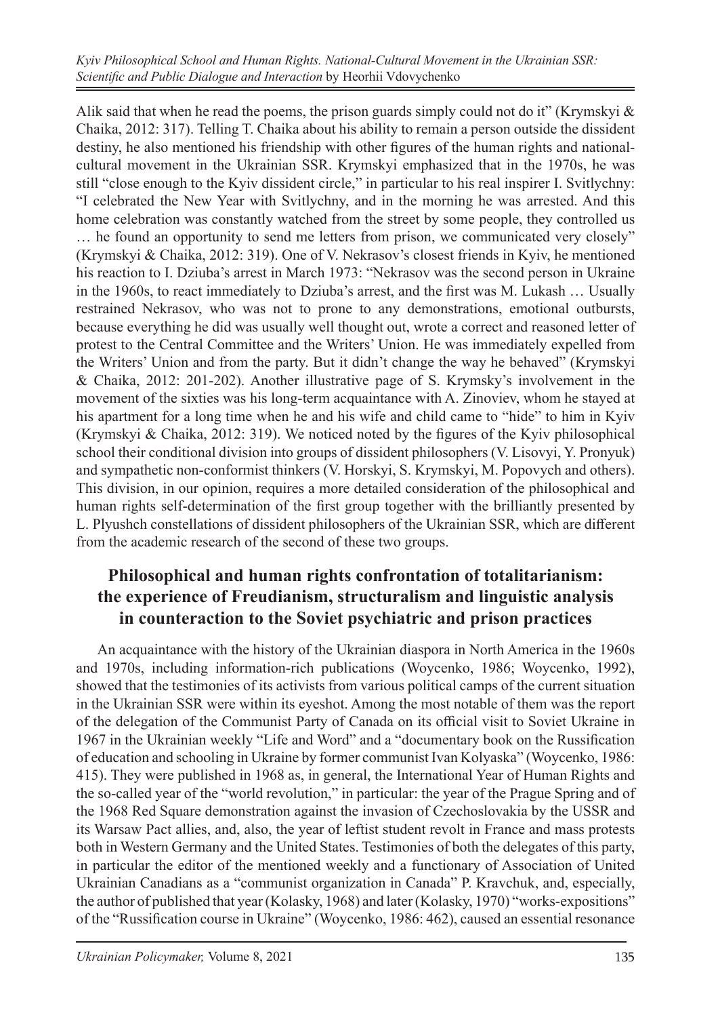Alik said that when he read the poems, the prison guards simply could not do it" (Krymskyi  $\&$ Chaika, 2012: 317). Telling T. Chaika about his ability to remain a person outside the dissident destiny, he also mentioned his friendship with other figures of the human rights and nationalcultural movement in the Ukrainian SSR. Krymskyi emphasized that in the 1970s, he was still "close enough to the Kyiv dissident circle," in particular to his real inspirer I. Svitlychny: "I celebrated the New Year with Svitlychny, and in the morning he was arrested. And this home celebration was constantly watched from the street by some people, they controlled us … he found an opportunity to send me letters from prison, we communicated very closely" (Krymskyi & Chaika, 2012: 319). One of V. Nekrasov's closest friends in Kyiv, he mentioned his reaction to I. Dziuba's arrest in March 1973: "Nekrasov was the second person in Ukraine in the 1960s, to react immediately to Dziuba's arrest, and the first was M. Lukash … Usually restrained Nekrasov, who was not to prone to any demonstrations, emotional outbursts, because everything he did was usually well thought out, wrote a correct and reasoned letter of protest to the Central Committee and the Writers' Union. He was immediately expelled from the Writers' Union and from the party. But it didn't change the way he behaved" (Krymskyi & Chaika, 2012: 201-202). Another illustrative page of S. Krymsky's involvement in the movement of the sixties was his long-term acquaintance with A. Zinoviev, whom he stayed at his apartment for a long time when he and his wife and child came to "hide" to him in Kyiv (Krymskyi & Chaika, 2012: 319). We noticed noted by the figures of the Kyiv philosophical school their conditional division into groups of dissident philosophers (V. Lisovyi, Y. Pronyuk) and sympathetic non-conformist thinkers (V. Horskyi, S. Krymskyi, M. Popovych and others). This division, in our opinion, requires a more detailed consideration of the philosophical and human rights self-determination of the first group together with the brilliantly presented by L. Plyushch constellations of dissident philosophers of the Ukrainian SSR, which are different from the academic research of the second of these two groups.

## **Philosophical and human rights confrontation of totalitarianism: the experience of Freudianism, structuralism and linguistic analysis in counteraction to the Soviet psychiatric and prison practices**

An acquaintance with the history of the Ukrainian diaspora in North America in the 1960s and 1970s, including information-rich publications (Woycenko, 1986; Woycenko, 1992), showed that the testimonies of its activists from various political camps of the current situation in the Ukrainian SSR were within its eyeshot. Among the most notable of them was the report of the delegation of the Communist Party of Canada on its official visit to Soviet Ukraine in 1967 in the Ukrainian weekly "Life and Word" and a "documentary book on the Russification of education and schooling in Ukraine by former communist Ivan Kolyaska" (Woycenko, 1986: 415). They were published in 1968 as, in general, the International Year of Human Rights and the so-called year of the "world revolution," in particular: the year of the Prague Spring and of the 1968 Red Square demonstration against the invasion of Czechoslovakia by the USSR and its Warsaw Pact allies, and, also, the year of leftist student revolt in France and mass protests both in Western Germany and the United States. Testimonies of both the delegates of this party, in particular the editor of the mentioned weekly and a functionary of Association of United Ukrainian Canadians as a "communist organization in Canada" P. Kravchuk, and, especially, the author of published that year (Kolasky, 1968) and later (Kolasky, 1970) "works-expositions" of the "Russification course in Ukraine" (Woycenko, 1986: 462), caused an essential resonance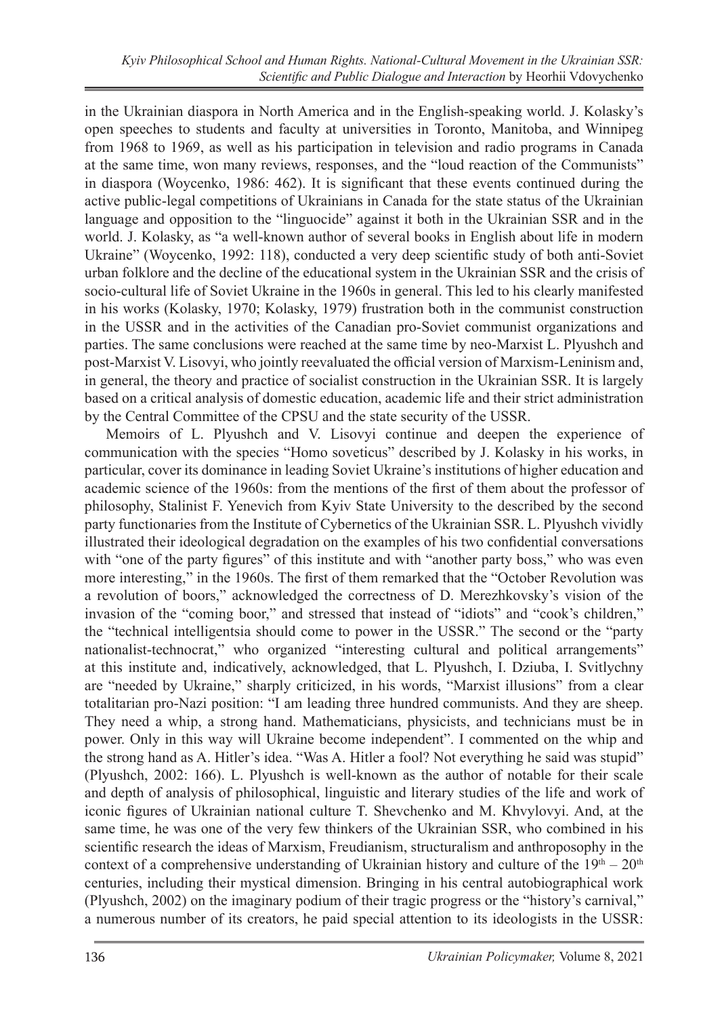in the Ukrainian diaspora in North America and in the English-speaking world. J. Kolasky's open speeches to students and faculty at universities in Toronto, Manitoba, and Winnipeg from 1968 to 1969, as well as his participation in television and radio programs in Canada at the same time, won many reviews, responses, and the "loud reaction of the Communists" in diaspora (Woycenko, 1986: 462). It is significant that these events continued during the active public-legal competitions of Ukrainians in Canada for the state status of the Ukrainian language and opposition to the "linguocide" against it both in the Ukrainian SSR and in the world. J. Kolasky, as "a well-known author of several books in English about life in modern Ukraine" (Woycenko, 1992: 118), conducted a very deep scientific study of both anti-Soviet urban folklore and the decline of the educational system in the Ukrainian SSR and the crisis of socio-cultural life of Soviet Ukraine in the 1960s in general. This led to his clearly manifested in his works (Kolasky, 1970; Kolasky, 1979) frustration both in the communist construction in the USSR and in the activities of the Canadian pro-Soviet communist organizations and parties. The same conclusions were reached at the same time by neo-Marxist L. Plyushch and post-Marxist V. Lisovyi, who jointly reevaluated the official version of Marxism-Leninism and, in general, the theory and practice of socialist construction in the Ukrainian SSR. It is largely based on a critical analysis of domestic education, academic life and their strict administration by the Central Committee of the CPSU and the state security of the USSR.

Memoirs of L. Plyushch and V. Lisovyi continue and deepen the experience of communication with the species "Homo soveticus" described by J. Kolasky in his works, in particular, cover its dominance in leading Soviet Ukraine's institutions of higher education and academic science of the 1960s: from the mentions of the first of them about the professor of philosophy, Stalinist F. Yenevich from Kyiv State University to the described by the second party functionaries from the Institute of Cybernetics of the Ukrainian SSR. L. Plyushch vividly illustrated their ideological degradation on the examples of his two confidential conversations with "one of the party figures" of this institute and with "another party boss," who was even more interesting," in the 1960s. The first of them remarked that the "October Revolution was a revolution of boors," acknowledged the correctness of D. Merezhkovsky's vision of the invasion of the "coming boor," and stressed that instead of "idiots" and "cook's children," the "technical intelligentsia should come to power in the USSR." The second or the "party nationalist-technocrat," who organized "interesting cultural and political arrangements" at this institute and, indicatively, acknowledged, that L. Plyushch, I. Dziuba, I. Svitlychny are "needed by Ukraine," sharply criticized, in his words, "Marxist illusions" from a clear totalitarian pro-Nazi position: "I am leading three hundred communists. And they are sheep. They need a whip, a strong hand. Mathematicians, physicists, and technicians must be in power. Only in this way will Ukraine become independent". I commented on the whip and the strong hand as A. Hitler's idea. "Was A. Hitler a fool? Not everything he said was stupid" (Plyushch, 2002: 166). L. Plyushch is well-known as the author of notable for their scale and depth of analysis of philosophical, linguistic and literary studies of the life and work of iconic figures of Ukrainian national culture T. Shevchenko and M. Khvylovyi. And, at the same time, he was one of the very few thinkers of the Ukrainian SSR, who combined in his scientific research the ideas of Marxism, Freudianism, structuralism and anthroposophy in the context of a comprehensive understanding of Ukrainian history and culture of the  $19<sup>th</sup> - 20<sup>th</sup>$ centuries, including their mystical dimension. Bringing in his central autobiographical work (Plyushch, 2002) on the imaginary podium of their tragic progress or the "history's carnival," a numerous number of its creators, he paid special attention to its ideologists in the USSR: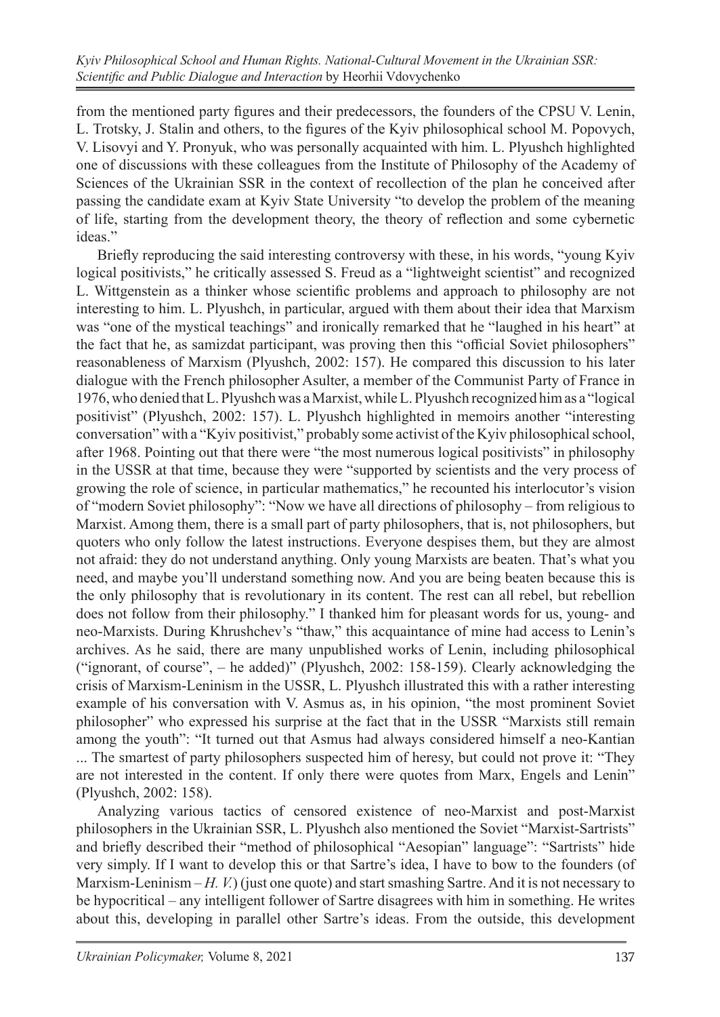from the mentioned party figures and their predecessors, the founders of the CPSU V. Lenin, L. Trotsky, J. Stalin and others, to the figures of the Kyiv philosophical school M. Popovych, V. Lisovyi and Y. Pronyuk, who was personally acquainted with him. L. Plyushch highlighted one of discussions with these colleagues from the Institute of Philosophy of the Academy of Sciences of the Ukrainian SSR in the context of recollection of the plan he conceived after passing the candidate exam at Kyiv State University "to develop the problem of the meaning of life, starting from the development theory, the theory of reflection and some cybernetic ideas."

Briefly reproducing the said interesting controversy with these, in his words, "young Kyiv logical positivists," he critically assessed S. Freud as a "lightweight scientist" and recognized L. Wittgenstein as a thinker whose scientific problems and approach to philosophy are not interesting to him. L. Plyushch, in particular, argued with them about their idea that Marxism was "one of the mystical teachings" and ironically remarked that he "laughed in his heart" at the fact that he, as samizdat participant, was proving then this "official Soviet philosophers" reasonableness of Marxism (Plyushch, 2002: 157). He compared this discussion to his later dialogue with the French philosopher Asulter, a member of the Communist Party of France in 1976, who denied that L. Plyushch was a Marxist, while L. Plyushch recognized him as a "logical positivist" (Plyushch, 2002: 157). L. Plyushch highlighted in memoirs another "interesting conversation" with a "Kyiv positivist," probably some activist of the Kyiv philosophical school, after 1968. Pointing out that there were "the most numerous logical positivists" in philosophy in the USSR at that time, because they were "supported by scientists and the very process of growing the role of science, in particular mathematics," he recounted his interlocutor's vision of "modern Soviet philosophy": "Now we have all directions of philosophy – from religious to Marxist. Among them, there is a small part of party philosophers, that is, not philosophers, but quoters who only follow the latest instructions. Everyone despises them, but they are almost not afraid: they do not understand anything. Only young Marxists are beaten. That's what you need, and maybe you'll understand something now. And you are being beaten because this is the only philosophy that is revolutionary in its content. The rest can all rebel, but rebellion does not follow from their philosophy." I thanked him for pleasant words for us, young- and neo-Marxists. During Khrushchev's "thaw," this acquaintance of mine had access to Lenin's archives. As he said, there are many unpublished works of Lenin, including philosophical ("ignorant, of course", – he added)" (Plyushch, 2002: 158-159). Clearly acknowledging the crisis of Marxism-Leninism in the USSR, L. Plyushch illustrated this with a rather interesting example of his conversation with V. Asmus as, in his opinion, "the most prominent Soviet philosopher" who expressed his surprise at the fact that in the USSR "Marxists still remain among the youth": "It turned out that Asmus had always considered himself a neo-Kantian ... The smartest of party philosophers suspected him of heresy, but could not prove it: "They are not interested in the content. If only there were quotes from Marx, Engels and Lenin" (Plyushch, 2002: 158).

Analyzing various tactics of censored existence of neo-Marxist and post-Marxist philosophers in the Ukrainian SSR, L. Plyushch also mentioned the Soviet "Marxist-Sartrists" and briefly described their "method of philosophical "Aesopian" language": "Sartrists" hide very simply. If I want to develop this or that Sartre's idea, I have to bow to the founders (of Marxism-Leninism – *H. V.*) (just one quote) and start smashing Sartre. And it is not necessary to be hypocritical – any intelligent follower of Sartre disagrees with him in something. He writes about this, developing in parallel other Sartre's ideas. From the outside, this development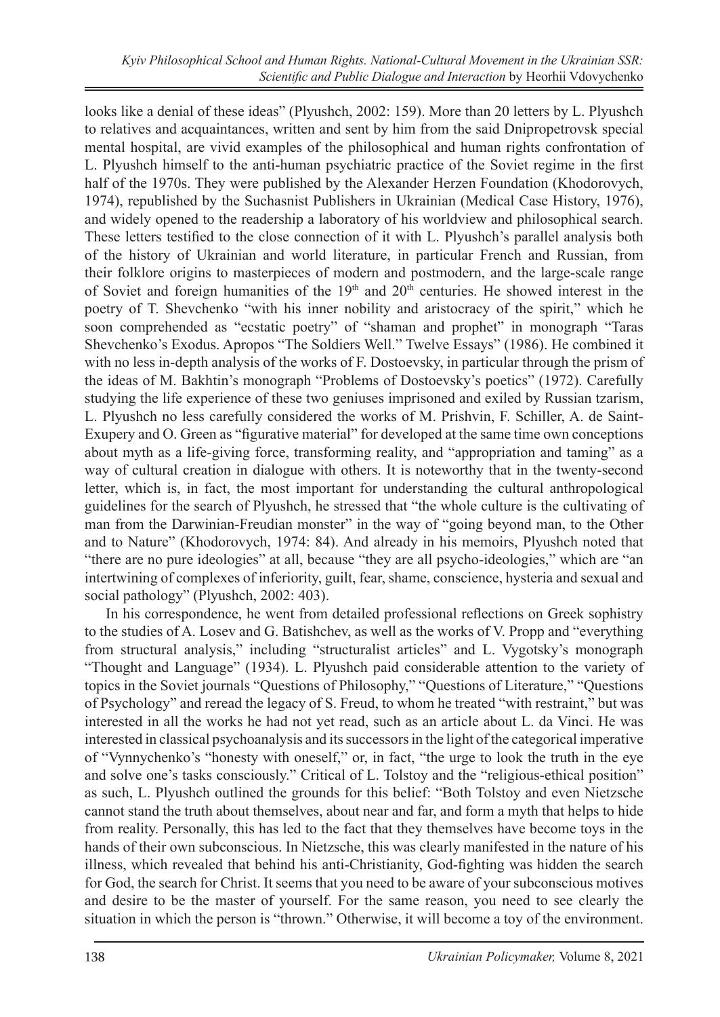looks like a denial of these ideas" (Plyushch, 2002: 159). More than 20 letters by L. Plyushch to relatives and acquaintances, written and sent by him from the said Dnipropetrovsk special mental hospital, are vivid examples of the philosophical and human rights confrontation of L. Plyushch himself to the anti-human psychiatric practice of the Soviet regime in the first half of the 1970s. They were published by the Alexander Herzen Foundation (Khodorovych, 1974), republished by the Suchasnist Publishers in Ukrainian (Medical Case History, 1976), and widely opened to the readership a laboratory of his worldview and philosophical search. These letters testified to the close connection of it with L. Plyushch's parallel analysis both of the history of Ukrainian and world literature, in particular French and Russian, from their folklore origins to masterpieces of modern and postmodern, and the large-scale range of Soviet and foreign humanities of the  $19<sup>th</sup>$  and  $20<sup>th</sup>$  centuries. He showed interest in the poetry of T. Shevchenko "with his inner nobility and aristocracy of the spirit," which he soon comprehended as "ecstatic poetry" of "shaman and prophet" in monograph "Taras Shevchenko's Exodus. Apropos "The Soldiers Well." Twelve Essays" (1986). He combined it with no less in-depth analysis of the works of F. Dostoevsky, in particular through the prism of the ideas of M. Bakhtin's monograph "Problems of Dostoevsky's poetics" (1972). Carefully studying the life experience of these two geniuses imprisoned and exiled by Russian tzarism, L. Plyushch no less carefully considered the works of M. Prishvin, F. Schiller, A. de Saint-Exupery and O. Green as "figurative material" for developed at the same time own conceptions about myth as a life-giving force, transforming reality, and "appropriation and taming" as a way of cultural creation in dialogue with others. It is noteworthy that in the twenty-second letter, which is, in fact, the most important for understanding the cultural anthropological guidelines for the search of Plyushch, he stressed that "the whole culture is the cultivating of man from the Darwinian-Freudian monster" in the way of "going beyond man, to the Other and to Nature" (Khodorovych, 1974: 84). And already in his memoirs, Plyushch noted that "there are no pure ideologies" at all, because "they are all psycho-ideologies," which are "an intertwining of complexes of inferiority, guilt, fear, shame, conscience, hysteria and sexual and social pathology" (Plyushch, 2002: 403).

In his correspondence, he went from detailed professional reflections on Greek sophistry to the studies of A. Losev and G. Batishchev, as well as the works of V. Propp and "everything from structural analysis," including "structuralist articles" and L. Vygotsky's monograph "Thought and Language" (1934). L. Plyushch paid considerable attention to the variety of topics in the Soviet journals "Questions of Philosophy," "Questions of Literature," "Questions of Psychology" and reread the legacy of S. Freud, to whom he treated "with restraint," but was interested in all the works he had not yet read, such as an article about L. da Vinci. He was interested in classical psychoanalysis and its successors in the light of the categorical imperative of "Vynnychenko's "honesty with oneself," or, in fact, "the urge to look the truth in the eye and solve one's tasks consciously." Critical of L. Tolstoy and the "religious-ethical position" as such, L. Plyushch outlined the grounds for this belief: "Both Tolstoy and even Nietzsche cannot stand the truth about themselves, about near and far, and form a myth that helps to hide from reality. Personally, this has led to the fact that they themselves have become toys in the hands of their own subconscious. In Nietzsche, this was clearly manifested in the nature of his illness, which revealed that behind his anti-Christianity, God-fighting was hidden the search for God, the search for Christ. It seems that you need to be aware of your subconscious motives and desire to be the master of yourself. For the same reason, you need to see clearly the situation in which the person is "thrown." Otherwise, it will become a toy of the environment.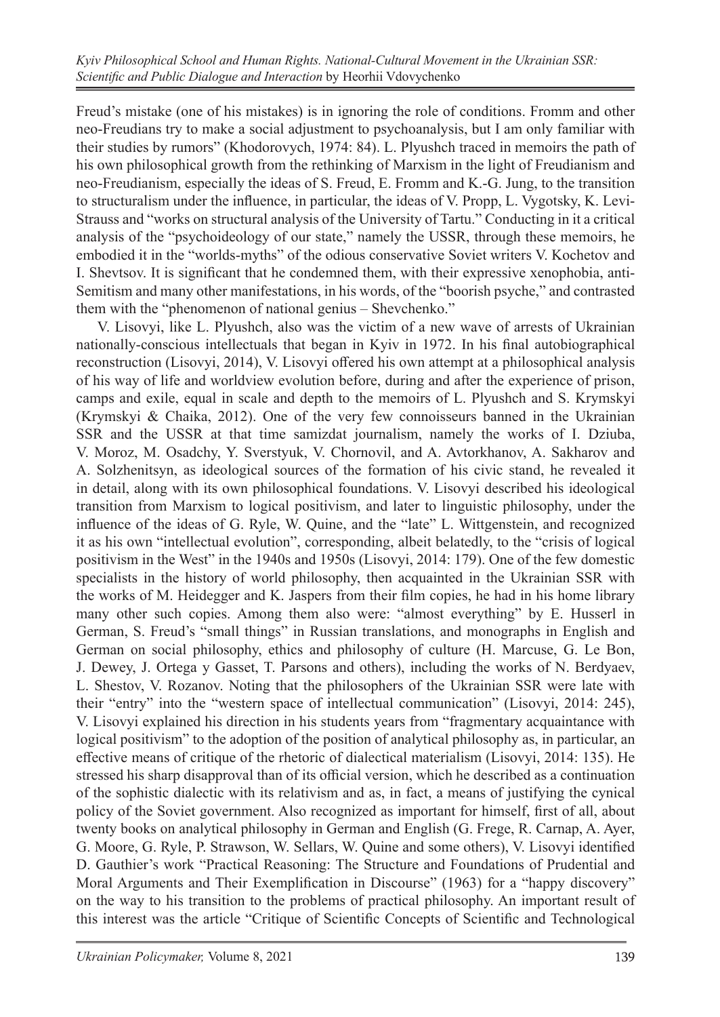Freud's mistake (one of his mistakes) is in ignoring the role of conditions. Fromm and other neo-Freudians try to make a social adjustment to psychoanalysis, but I am only familiar with their studies by rumors" (Khodorovych, 1974: 84). L. Plyushch traced in memoirs the path of his own philosophical growth from the rethinking of Marxism in the light of Freudianism and neo-Freudianism, especially the ideas of S. Freud, E. Fromm and K.-G. Jung, to the transition to structuralism under the influence, in particular, the ideas of V. Propp, L. Vygotsky, K. Levi-Strauss and "works on structural analysis of the University of Tartu." Conducting in it a critical analysis of the "psychoideology of our state," namely the USSR, through these memoirs, he embodied it in the "worlds-myths" of the odious conservative Soviet writers V. Kochetov and I. Shevtsov. It is significant that he condemned them, with their expressive xenophobia, anti-Semitism and many other manifestations, in his words, of the "boorish psyche," and contrasted them with the "phenomenon of national genius – Shevchenko."

V. Lisovyi, like L. Plyushch, also was the victim of a new wave of arrests of Ukrainian nationally-conscious intellectuals that began in Kyiv in 1972. In his final autobiographical reconstruction (Lisovyi, 2014), V. Lisovyi offered his own attempt at a philosophical analysis of his way of life and worldview evolution before, during and after the experience of prison, camps and exile, equal in scale and depth to the memoirs of L. Plyushch and S. Krymskyi (Krymskyi & Chaika, 2012). One of the very few connoisseurs banned in the Ukrainian SSR and the USSR at that time samizdat journalism, namely the works of I. Dziuba, V. Moroz, M. Osadchy, Y. Sverstyuk, V. Chornovil, and A. Avtorkhanov, A. Sakharov and A. Solzhenitsyn, as ideological sources of the formation of his civic stand, he revealed it in detail, along with its own philosophical foundations. V. Lisovyi described his ideological transition from Marxism to logical positivism, and later to linguistic philosophy, under the influence of the ideas of G. Ryle, W. Quine, and the "late" L. Wittgenstein, and recognized it as his own "intellectual evolution", corresponding, albeit belatedly, to the "crisis of logical positivism in the West" in the 1940s and 1950s (Lisovyi, 2014: 179). One of the few domestic specialists in the history of world philosophy, then acquainted in the Ukrainian SSR with the works of M. Heidegger and K. Jaspers from their film copies, he had in his home library many other such copies. Among them also were: "almost everything" by E. Husserl in German, S. Freud's "small things" in Russian translations, and monographs in English and German on social philosophy, ethics and philosophy of culture (H. Marcuse, G. Le Bon, J. Dewey, J. Ortega y Gasset, T. Parsons and others), including the works of N. Berdyaev, L. Shestov, V. Rozanov. Noting that the philosophers of the Ukrainian SSR were late with their "entry" into the "western space of intellectual communication" (Lisovyi, 2014: 245), V. Lisovyi explained his direction in his students years from "fragmentary acquaintance with logical positivism" to the adoption of the position of analytical philosophy as, in particular, an effective means of critique of the rhetoric of dialectical materialism (Lisovyi, 2014: 135). He stressed his sharp disapproval than of its official version, which he described as a continuation of the sophistic dialectic with its relativism and as, in fact, a means of justifying the cynical policy of the Soviet government. Also recognized as important for himself, first of all, about twenty books on analytical philosophy in German and English (G. Frege, R. Carnap, A. Ayer, G. Moore, G. Ryle, P. Strawson, W. Sellars, W. Quine and some others), V. Lisovyi identified D. Gauthier's work "Practical Reasoning: The Structure and Foundations of Prudential and Moral Arguments and Their Exemplification in Discourse" (1963) for a "happy discovery" on the way to his transition to the problems of practical philosophy. An important result of this interest was the article "Critique of Scientific Concepts of Scientific and Technological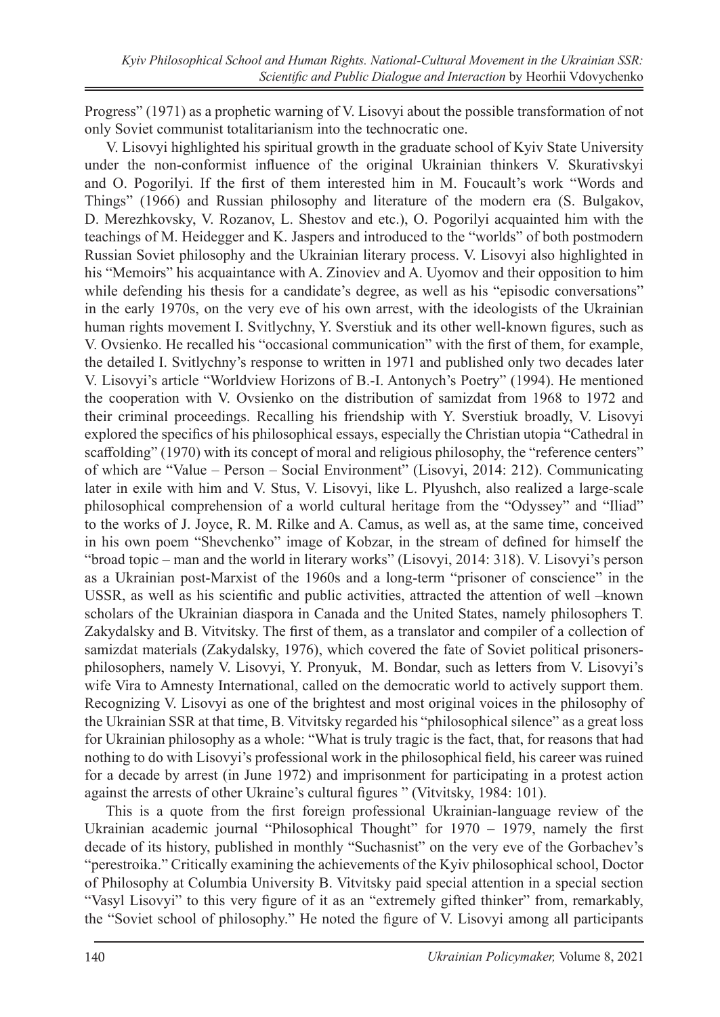Progress" (1971) as a prophetic warning of V. Lisovyi about the possible transformation of not only Soviet communist totalitarianism into the technocratic one.

V. Lisovyi highlighted his spiritual growth in the graduate school of Kyiv State University under the non-conformist influence of the original Ukrainian thinkers V. Skurativskyi and O. Pogorilyi. If the first of them interested him in M. Foucault's work "Words and Things" (1966) and Russian philosophy and literature of the modern era (S. Bulgakov, D. Merezhkovsky, V. Rozanov, L. Shestov and etc.), O. Pogorilyi acquainted him with the teachings of M. Heidegger and K. Jaspers and introduced to the "worlds" of both postmodern Russian Soviet philosophy and the Ukrainian literary process. V. Lisovyi also highlighted in his "Memoirs" his acquaintance with A. Zinoviev and A. Uyomov and their opposition to him while defending his thesis for a candidate's degree, as well as his "episodic conversations" in the early 1970s, on the very eve of his own arrest, with the ideologists of the Ukrainian human rights movement I. Svitlychny, Y. Sverstiuk and its other well-known figures, such as V. Ovsienko. He recalled his "occasional communication" with the first of them, for example, the detailed I. Svitlychny's response to written in 1971 and published only two decades later V. Lisovyi's article "Worldview Horizons of B.-I. Antonych's Poetry" (1994). He mentioned the cooperation with V. Ovsienko on the distribution of samizdat from 1968 to 1972 and their criminal proceedings. Recalling his friendship with Y. Sverstiuk broadly, V. Lisovyi explored the specifics of his philosophical essays, especially the Christian utopia "Cathedral in scaffolding" (1970) with its concept of moral and religious philosophy, the "reference centers" of which are "Value – Person – Social Environment" (Lisovyi, 2014: 212). Communicating later in exile with him and V. Stus, V. Lisovyi, like L. Plyushch, also realized a large-scale philosophical comprehension of a world cultural heritage from the "Odyssey" and "Iliad" to the works of J. Joyce, R. M. Rilke and A. Camus, as well as, at the same time, conceived in his own poem "Shevchenko" image of Kobzar, in the stream of defined for himself the "broad topic – man and the world in literary works" (Lisovyi, 2014: 318). V. Lisovyi's person as a Ukrainian post-Marxist of the 1960s and a long-term "prisoner of conscience" in the USSR, as well as his scientific and public activities, attracted the attention of well –known scholars of the Ukrainian diaspora in Canada and the United States, namely philosophers T. Zakydalsky and B. Vitvitsky. The first of them, as a translator and compiler of a collection of samizdat materials (Zakydalsky, 1976), which covered the fate of Soviet political prisonersphilosophers, namely V. Lisovyi, Y. Pronyuk, M. Bondar, such as letters from V. Lisovyi's wife Vira to Amnesty International, called on the democratic world to actively support them. Recognizing V. Lisovyi as one of the brightest and most original voices in the philosophy of the Ukrainian SSR at that time, B. Vitvitsky regarded his "philosophical silence" as a great loss for Ukrainian philosophy as a whole: "What is truly tragic is the fact, that, for reasons that had nothing to do with Lisovyi's professional work in the philosophical field, his career was ruined for a decade by arrest (in June 1972) and imprisonment for participating in a protest action against the arrests of other Ukraine's cultural figures " (Vitvitsky, 1984: 101).

This is a quote from the first foreign professional Ukrainian-language review of the Ukrainian academic journal "Philosophical Thought" for 1970 – 1979, namely the first decade of its history, published in monthly "Suchasnist" on the very eve of the Gorbachev's "perestroika." Critically examining the achievements of the Kyiv philosophical school, Doctor of Philosophy at Columbia University B. Vitvitsky paid special attention in a special section "Vasyl Lisovyi" to this very figure of it as an "extremely gifted thinker" from, remarkably, the "Soviet school of philosophy." He noted the figure of V. Lisovyi among all participants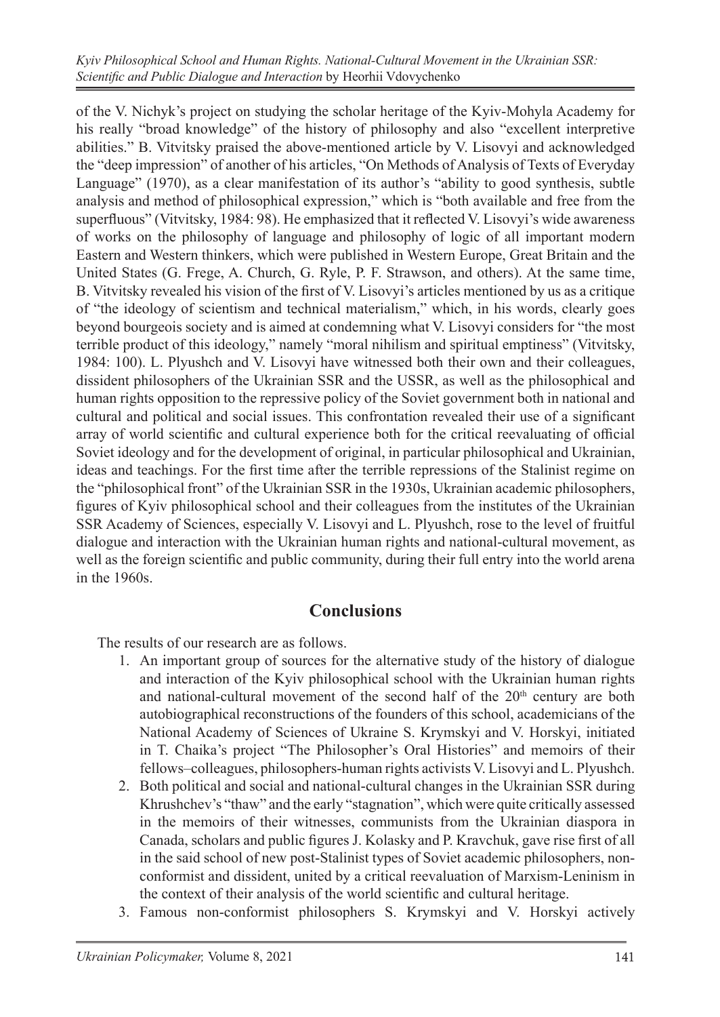of the V. Nichyk's project on studying the scholar heritage of the Kyiv-Mohyla Academy for his really "broad knowledge" of the history of philosophy and also "excellent interpretive abilities." B. Vitvitsky praised the above-mentioned article by V. Lisovyi and acknowledged the "deep impression" of another of his articles, "On Methods of Analysis of Texts of Everyday Language" (1970), as a clear manifestation of its author's "ability to good synthesis, subtle analysis and method of philosophical expression," which is "both available and free from the superfluous" (Vitvitsky, 1984: 98). He emphasized that it reflected V. Lisovyi's wide awareness of works on the philosophy of language and philosophy of logic of all important modern Eastern and Western thinkers, which were published in Western Europe, Great Britain and the United States (G. Frege, A. Church, G. Ryle, P. F. Strawson, and others). At the same time, B. Vitvitsky revealed his vision of the first of V. Lisovyi's articles mentioned by us as a critique of "the ideology of scientism and technical materialism," which, in his words, clearly goes beyond bourgeois society and is aimed at condemning what V. Lisovyi considers for "the most terrible product of this ideology," namely "moral nihilism and spiritual emptiness" (Vitvitsky, 1984: 100). L. Plyushch and V. Lisovyi have witnessed both their own and their colleagues, dissident philosophers of the Ukrainian SSR and the USSR, as well as the philosophical and human rights opposition to the repressive policy of the Soviet government both in national and cultural and political and social issues. This confrontation revealed their use of a significant array of world scientific and cultural experience both for the critical reevaluating of official Soviet ideology and for the development of original, in particular philosophical and Ukrainian, ideas and teachings. For the first time after the terrible repressions of the Stalinist regime on the "philosophical front" of the Ukrainian SSR in the 1930s, Ukrainian academic philosophers, figures of Kyiv philosophical school and their colleagues from the institutes of the Ukrainian SSR Academy of Sciences, especially V. Lisovyi and L. Plyushch, rose to the level of fruitful dialogue and interaction with the Ukrainian human rights and national-cultural movement, as well as the foreign scientific and public community, during their full entry into the world arena in the 1960s.

#### **Conclusions**

The results of our research are as follows.

- 1. An important group of sources for the alternative study of the history of dialogue and interaction of the Kyiv philosophical school with the Ukrainian human rights and national-cultural movement of the second half of the  $20<sup>th</sup>$  century are both autobiographical reconstructions of the founders of this school, academicians of the National Academy of Sciences of Ukraine S. Krymskyi and V. Horskyi, initiated in T. Chaika's project "The Philosopher's Oral Histories" and memoirs of their fellows–colleagues, philosophers-human rights activists V. Lisovyi and L. Plyushch.
- 2. Both political and social and national-cultural changes in the Ukrainian SSR during Khrushchev's "thaw" and the early "stagnation", which were quite critically assessed in the memoirs of their witnesses, communists from the Ukrainian diaspora in Canada, scholars and public figures J. Kolasky and P. Kravchuk, gave rise first of all in the said school of new post-Stalinist types of Soviet academic philosophers, nonconformist and dissident, united by a critical reevaluation of Marxism-Leninism in the context of their analysis of the world scientific and cultural heritage.
- 3. Famous non-conformist philosophers S. Krymskyi and V. Horskyi actively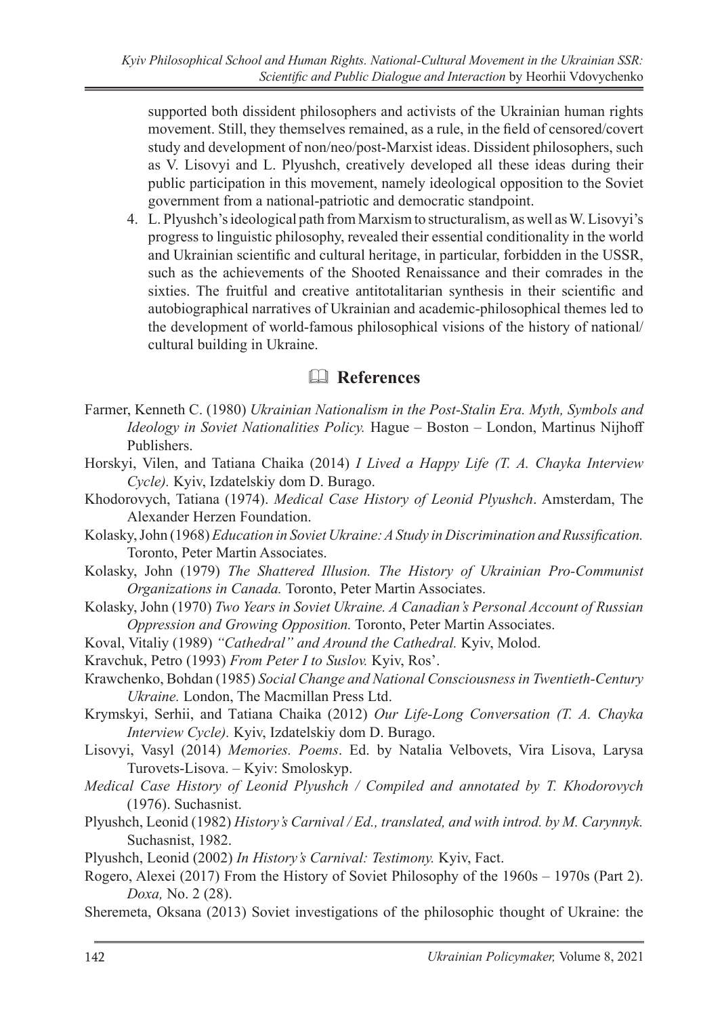supported both dissident philosophers and activists of the Ukrainian human rights movement. Still, they themselves remained, as a rule, in the field of censored/covert study and development of non/neo/post-Marxist ideas. Dissident philosophers, such as V. Lisovyi and L. Plyushch, creatively developed all these ideas during their public participation in this movement, namely ideological opposition to the Soviet government from a national-patriotic and democratic standpoint.

4. L. Plyushch's ideological path from Marxism to structuralism, as well as W.Lisovyi's progress to linguistic philosophy, revealed their essential conditionality in the world and Ukrainian scientific and cultural heritage, in particular, forbidden in the USSR, such as the achievements of the Shooted Renaissance and their comrades in the sixties. The fruitful and creative antitotalitarian synthesis in their scientific and autobiographical narratives of Ukrainian and academic-philosophical themes led to the development of world-famous philosophical visions of the history of national/ cultural building in Ukraine.

## & **References**

- Farmer, Kenneth C. (1980) *Ukrainian Nationalism in the Post-Stalin Era. Myth, Symbols and Ideology in Soviet Nationalities Policy.* Hague – Boston – London, Martinus Nijhoff Publishers.
- Horskyi, Vilen, and Tatiana Chaika (2014) *I Lived a Happy Life (T. A. Chayka Interview Cycle).* Kyiv, Izdatelskiy dom D. Burago.
- Khodorovych, Tatiana (1974). *Medical Сase History of Leonid Plyushch*. Amsterdam, The Alexander Herzen Foundation.
- Kolasky, John (1968) *Education in Soviet Ukraine: A Study in Discrimination and Russification.*  Toronto, Peter Martin Associates.
- Kolasky, John (1979) *The Shattered Illusion. The History of Ukrainian Pro-Communist Organizations in Canada.* Toronto, Peter Martin Associates.
- Kolasky, John (1970) *Two Years in Soviet Ukraine. A Canadian's Personal Account of Russian Oppression and Growing Opposition.* Toronto, Peter Martin Associates.
- Koval, Vitaliy (1989) *"Cathedral" and Around the Cathedral.* Kyiv, Molod.
- Kravchuk, Petro (1993) *From Peter I to Suslov.* Kyiv, Ros'.
- Кrawchenko, Bohdan (1985) *Social Change and National Consciousness in Twentieth-Century Ukraine.* London, The Macmillan Press Ltd.
- Krymskyi, Serhii, and Tаtiana Chaika (2012) *Our Life-Long Conversation (T. A. Chayka Interview Cycle).* Kyiv, Izdatelskiy dom D. Burago.
- Lisovyi, Vasyl (2014) *Memories. Poems*. Ed. by Natalia Velbovets, Vira Lisova, Larysa Turovets-Lisova. – Kyiv: Smoloskyp.
- *Medical Case History of Leonid Plyushch / Compiled and annotated by T. Khodorovych* (1976). Suchasnist.
- Plyushch, Leonid (1982) *History's Carnival / Ed., translated, and with introd. by M. Carynnyk.* Suchasnist, 1982.
- Plyushch, Leonid (2002) *In History's Carnival: Testimony.* Kyiv, Fact.
- Rogero, Alexei (2017) From the History of Soviet Philosophy of the 1960s 1970s (Part 2). *Doxa,* No. 2 (28).
- Sheremeta, Oksana (2013) Soviet investigations of the philosophic thought of Ukraine: the